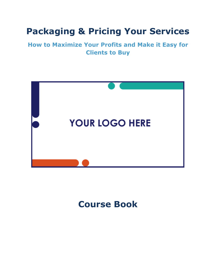## **Packaging & Pricing Your Services**

## **How to Maximize Your Profits and Make it Easy for Clients to Buy**



## **Course Book**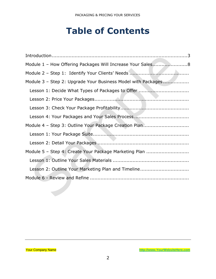## **Table of Contents**

| Module 1 - How Offering Packages Will Increase Your Sales8   |
|--------------------------------------------------------------|
|                                                              |
| Module 3 - Step 2: Upgrade Your Business Model with Packages |
| Lesson 1: Decide What Types of Packages to Offer             |
|                                                              |
|                                                              |
|                                                              |
| Module 4 - Step 3: Outline Your Package Creation Plan        |
|                                                              |
|                                                              |
| Module 5 - Step 4: Create Your Package Marketing Plan        |
|                                                              |
| Lesson 2: Outline Your Marketing Plan and Timeline           |
|                                                              |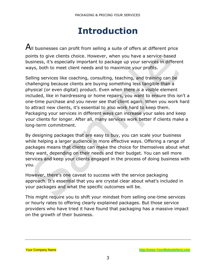## **Introduction**

<span id="page-2-0"></span> $A$ II businesses can profit from selling a suite of offers at different price points to give clients choice. However, when you have a service-based business, it's especially important to package up your services in different ways, both to meet client needs and to maximize your profits.

Selling services like coaching, consulting, teaching, and training can be challenging because clients are buying something less tangible than a physical (or even digital) product. Even when there *is* a visible element included, like in hairdressing or home repairs, you want to ensure this isn't a one-time purchase and you never see that client again. When you work hard to attract new clients, it's essential to also work hard to keep them. Packaging your services in different ways can increase your sales and keep your clients for longer. After all, many services work better if clients make a long-term commitment.

By designing packages that are easy to buy, you can scale your business while helping a larger audience in more effective ways. Offering a range of packages means that clients can make the choice for themselves about what they want, depending on their needs and their budget. You can sell more services and keep your clients engaged in the process of doing business with you.

However, there's one caveat to success with the service packaging approach. It's essential that you are crystal clear about what's included in your packages and what the specific outcomes will be.

This might require you to shift your mindset from selling one-time services or hourly rates to offering clearly explained packages. But those service providers who have tried it have found that packaging has a massive impact on the growth of their business.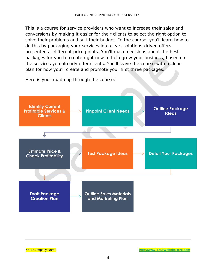This is a course for service providers who want to increase their sales and conversions by making it easier for their clients to select the right option to solve their problems and suit their budget. In the course, you'll learn how to do this by packaging your services into clear, solutions-driven offers presented at different price points. You'll make decisions about the best packages for you to create right now to help grow your business, based on the services you already offer clients. You'll leave the course with a clear plan for how you'll create and promote your first three packages.

Here is your roadmap through the course:

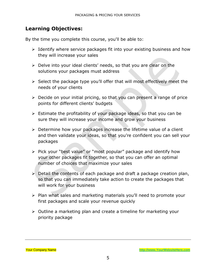### **Learning Objectives:**

By the time you complete this course, you'll be able to:

- ➢ Identify where service packages fit into your existing business and how they will increase your sales
- ➢ Delve into your ideal clients' needs, so that you are clear on the solutions your packages must address
- ➢ Select the package type you'll offer that will most effectively meet the needs of your clients
- ➢ Decide on your initial pricing, so that you can present a range of price points for different clients' budgets
- $\triangleright$  Estimate the profitability of your package ideas, so that you can be sure they will increase your income and grow your business
- ➢ Determine how your packages increase the lifetime value of a client and then validate your ideas, so that you're confident you can sell your packages
- ➢ Pick your "best value" or "most popular" package and identify how your other packages fit together, so that you can offer an optimal number of choices that maximize your sales
- ➢ Detail the contents of each package and draft a package creation plan, so that you can immediately take action to create the packages that will work for your business
- ➢ Plan what sales and marketing materials you'll need to promote your first packages and scale your revenue quickly
- ➢ Outline a marketing plan and create a timeline for marketing your priority package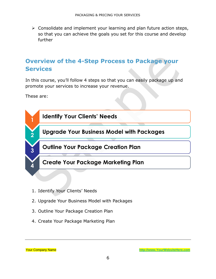➢ Consolidate and implement your learning and plan future action steps, so that you can achieve the goals you set for this course and develop further

## **Overview of the 4-Step Process to Package your Services**

In this course, you'll follow 4 steps so that you can easily package up and promote your services to increase your revenue.

These are:



- 1. Identify Your Clients' Needs
- 2. Upgrade Your Business Model with Packages
- 3. Outline Your Package Creation Plan
- 4. Create Your Package Marketing Plan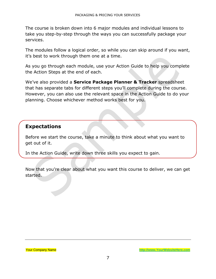The course is broken down into 6 major modules and individual lessons to take you step-by-step through the ways you can successfully package your services.

The modules follow a logical order, so while you can skip around if you want, it's best to work through them one at a time.

As you go through each module, use your Action Guide to help you complete the Action Steps at the end of each.

We've also provided a **Service Package Planner & Tracker** spreadsheet that has separate tabs for different steps you'll complete during the course. However, you can also use the relevant space in the Action Guide to do your planning. Choose whichever method works best for you.

### **Expectations**

Before we start the course, take a minute to think about what you want to get out of it.

In the Action Guide, write down three skills you expect to gain.

Now that you're clear about what you want this course to deliver, we can get started.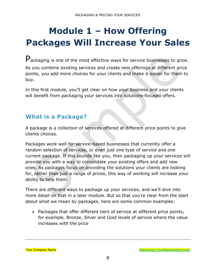# <span id="page-7-0"></span>**Module 1 – How Offering Packages Will Increase Your Sales**

Packaging is one of the most effective ways for service businesses to grow. As you combine existing services and create new offerings at different price points, you add more choices for your clients and make it easier for them to buy.

In this first module, you'll get clear on how your business and your clients will benefit from packaging your services into solutions-focused offers.

### **What is a Package?**

A package is a collection of services offered at different price points to give clients choices.

Packages work well for service-based businesses that currently offer a random selection of services, or even just one type of service and one current package. If this sounds like you, then packaging up your services will provide you with a way to consolidate your existing offers and add new ones. As packages focus on providing the solutions your clients are looking for, rather than just a range of prices, this way of working will increase your ability to help them.

There are different ways to package up your services, and we'll dive into more detail on that in a later module. But so that you're clear from the start about what we mean by packages, here are some common examples:

➢ Packages that offer different tiers of service at different price points; for example, Bronze, Silver and Gold levels of service where the value increases with the price